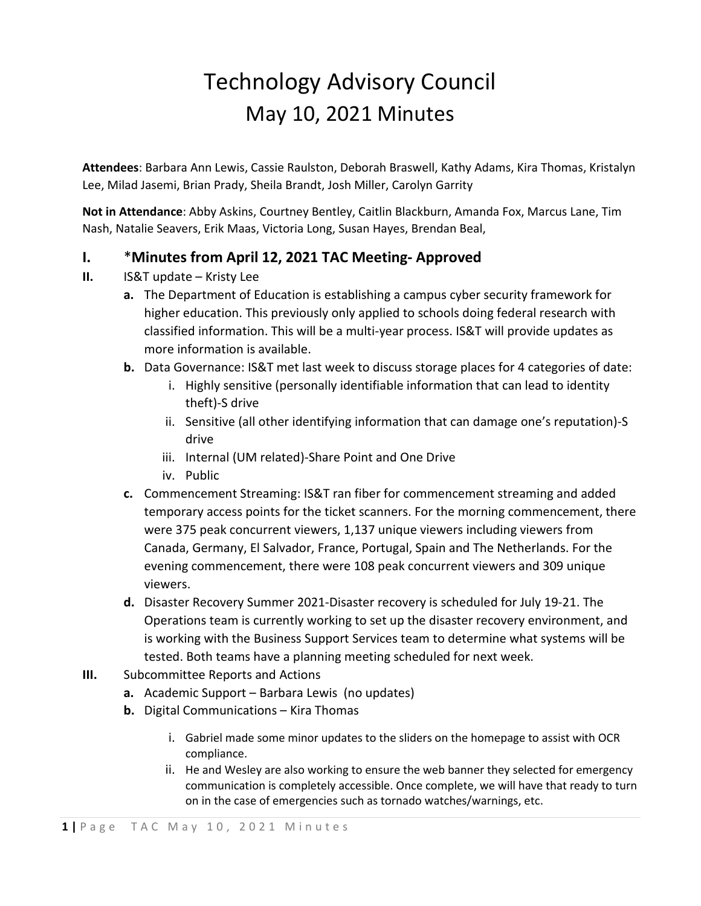## Technology Advisory Council May 10, 2021 Minutes

**Attendees**: Barbara Ann Lewis, Cassie Raulston, Deborah Braswell, Kathy Adams, Kira Thomas, Kristalyn Lee, Milad Jasemi, Brian Prady, Sheila Brandt, Josh Miller, Carolyn Garrity

**Not in Attendance**: Abby Askins, Courtney Bentley, Caitlin Blackburn, Amanda Fox, Marcus Lane, Tim Nash, Natalie Seavers, Erik Maas, Victoria Long, Susan Hayes, Brendan Beal,

## **I.** \***Minutes from April 12, 2021 TAC Meeting- Approved**

- **II.** IS&T update Kristy Lee
	- **a.** The Department of Education is establishing a campus cyber security framework for higher education. This previously only applied to schools doing federal research with classified information. This will be a multi-year process. IS&T will provide updates as more information is available.
	- **b.** Data Governance: IS&T met last week to discuss storage places for 4 categories of date:
		- i. Highly sensitive (personally identifiable information that can lead to identity theft)-S drive
		- ii. Sensitive (all other identifying information that can damage one's reputation)-S drive
		- iii. Internal (UM related)-Share Point and One Drive
		- iv. Public
	- **c.** Commencement Streaming: IS&T ran fiber for commencement streaming and added temporary access points for the ticket scanners. For the morning commencement, there were 375 peak concurrent viewers, 1,137 unique viewers including viewers from Canada, Germany, El Salvador, France, Portugal, Spain and The Netherlands. For the evening commencement, there were 108 peak concurrent viewers and 309 unique viewers.
	- **d.** Disaster Recovery Summer 2021-Disaster recovery is scheduled for July 19-21. The Operations team is currently working to set up the disaster recovery environment, and is working with the Business Support Services team to determine what systems will be tested. Both teams have a planning meeting scheduled for next week.
- **III.** Subcommittee Reports and Actions
	- **a.** Academic Support Barbara Lewis (no updates)
	- **b.** Digital Communications Kira Thomas
		- i. Gabriel made some minor updates to the sliders on the homepage to assist with OCR compliance.
		- ii. He and Wesley are also working to ensure the web banner they selected for emergency communication is completely accessible. Once complete, we will have that ready to turn on in the case of emergencies such as tornado watches/warnings, etc.